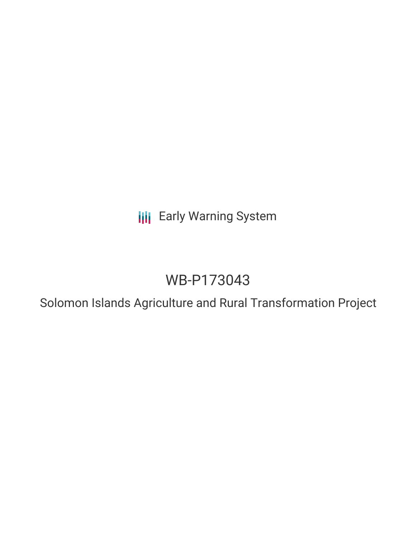**III** Early Warning System

# WB-P173043

Solomon Islands Agriculture and Rural Transformation Project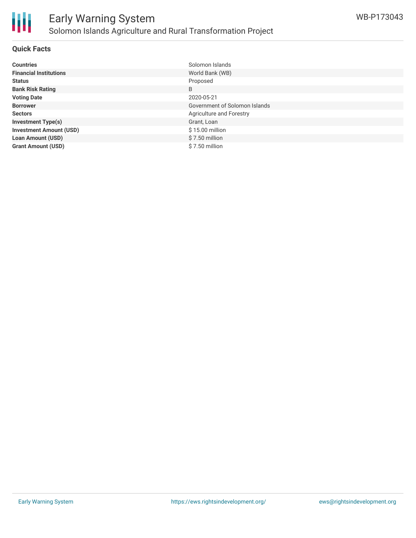

#### **Quick Facts**

Ш

| <b>Countries</b>               | Solomon Islands               |
|--------------------------------|-------------------------------|
| <b>Financial Institutions</b>  | World Bank (WB)               |
| <b>Status</b>                  | Proposed                      |
| <b>Bank Risk Rating</b>        | B                             |
| <b>Voting Date</b>             | 2020-05-21                    |
| <b>Borrower</b>                | Government of Solomon Islands |
| <b>Sectors</b>                 | Agriculture and Forestry      |
| <b>Investment Type(s)</b>      | Grant, Loan                   |
| <b>Investment Amount (USD)</b> | \$15.00 million               |
| <b>Loan Amount (USD)</b>       | $$7.50$ million               |
| <b>Grant Amount (USD)</b>      | \$7.50 million                |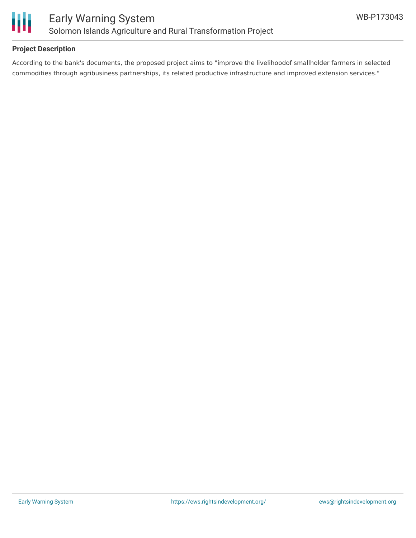

### **Project Description**

According to the bank's documents, the proposed project aims to "improve the livelihoodof smallholder farmers in selected commodities through agribusiness partnerships, its related productive infrastructure and improved extension services."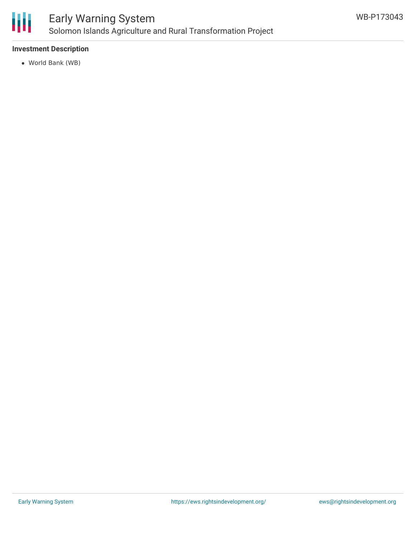

#### **Investment Description**

World Bank (WB)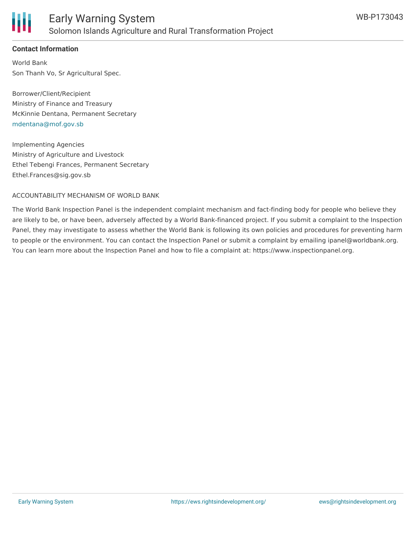

#### **Contact Information**

World Bank Son Thanh Vo, Sr Agricultural Spec.

Borrower/Client/Recipient Ministry of Finance and Treasury McKinnie Dentana, Permanent Secretary [mdentana@mof.gov.sb](mailto:mdentana@mof.gov.sb)

Implementing Agencies Ministry of Agriculture and Livestock Ethel Tebengi Frances, Permanent Secretary Ethel.Frances@sig.gov.sb

#### ACCOUNTABILITY MECHANISM OF WORLD BANK

The World Bank Inspection Panel is the independent complaint mechanism and fact-finding body for people who believe they are likely to be, or have been, adversely affected by a World Bank-financed project. If you submit a complaint to the Inspection Panel, they may investigate to assess whether the World Bank is following its own policies and procedures for preventing harm to people or the environment. You can contact the Inspection Panel or submit a complaint by emailing ipanel@worldbank.org. You can learn more about the Inspection Panel and how to file a complaint at: https://www.inspectionpanel.org.